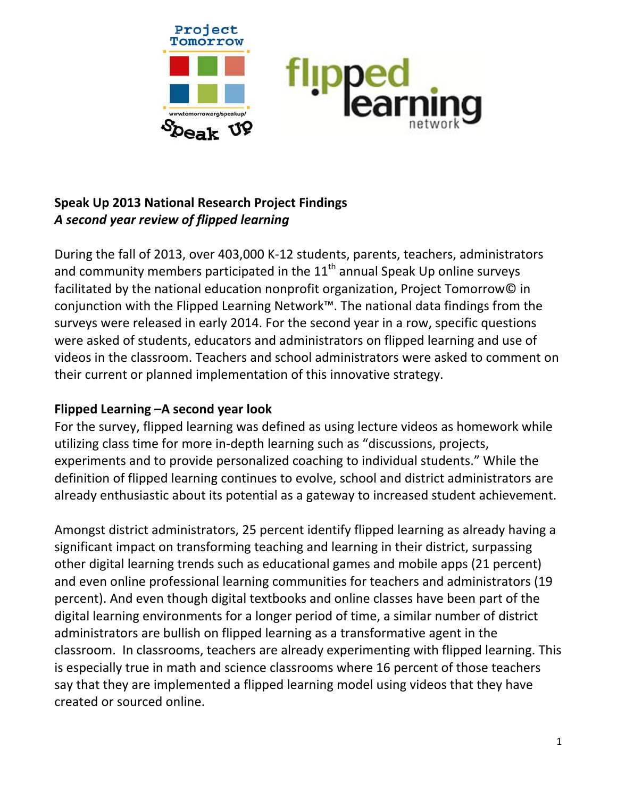

# **Speak Up 2013 National Research Project Findings** *A second year review of flipped learning*

During the fall of 2013, over 403,000 K‐12 students, parents, teachers, administrators and community members participated in the  $11<sup>th</sup>$  annual Speak Up online surveys facilitated by the national education nonprofit organization, Project Tomorrow© in conjunction with the Flipped Learning Network™. The national data findings from the surveys were released in early 2014. For the second year in a row, specific questions were asked of students, educators and administrators on flipped learning and use of videos in the classroom. Teachers and school administrators were asked to comment on their current or planned implementation of this innovative strategy.

## **Flipped Learning –A second year look**

For the survey, flipped learning was defined as using lecture videos as homework while utilizing class time for more in‐depth learning such as "discussions, projects, experiments and to provide personalized coaching to individual students." While the definition of flipped learning continues to evolve, school and district administrators are already enthusiastic about its potential as a gateway to increased student achievement.

Amongst district administrators, 25 percent identify flipped learning as already having a significant impact on transforming teaching and learning in their district, surpassing other digital learning trends such as educational games and mobile apps (21 percent) and even online professional learning communities for teachers and administrators (19 percent). And even though digital textbooks and online classes have been part of the digital learning environments for a longer period of time, a similar number of district administrators are bullish on flipped learning as a transformative agent in the classroom. In classrooms, teachers are already experimenting with flipped learning. This is especially true in math and science classrooms where 16 percent of those teachers say that they are implemented a flipped learning model using videos that they have created or sourced online.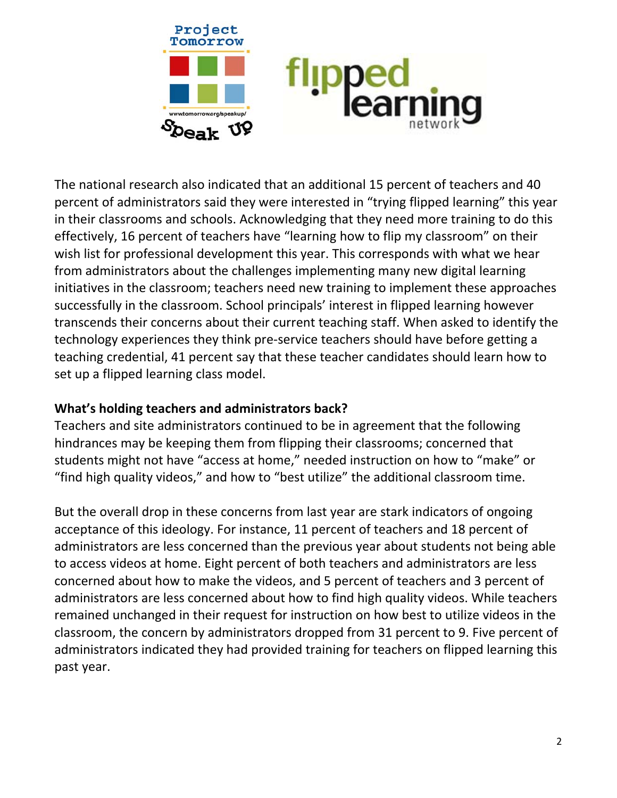

The national research also indicated that an additional 15 percent of teachers and 40 percent of administrators said they were interested in "trying flipped learning" this year in their classrooms and schools. Acknowledging that they need more training to do this effectively, 16 percent of teachers have "learning how to flip my classroom" on their wish list for professional development this year. This corresponds with what we hear from administrators about the challenges implementing many new digital learning initiatives in the classroom; teachers need new training to implement these approaches successfully in the classroom. School principals' interest in flipped learning however transcends their concerns about their current teaching staff. When asked to identify the technology experiences they think pre‐service teachers should have before getting a teaching credential, 41 percent say that these teacher candidates should learn how to set up a flipped learning class model.

### **What's holding teachers and administrators back?**

Teachers and site administrators continued to be in agreement that the following hindrances may be keeping them from flipping their classrooms; concerned that students might not have "access at home," needed instruction on how to "make" or "find high quality videos," and how to "best utilize" the additional classroom time.

But the overall drop in these concerns from last year are stark indicators of ongoing acceptance of this ideology. For instance, 11 percent of teachers and 18 percent of administrators are less concerned than the previous year about students not being able to access videos at home. Eight percent of both teachers and administrators are less concerned about how to make the videos, and 5 percent of teachers and 3 percent of administrators are less concerned about how to find high quality videos. While teachers remained unchanged in their request for instruction on how best to utilize videos in the classroom, the concern by administrators dropped from 31 percent to 9. Five percent of administrators indicated they had provided training for teachers on flipped learning this past year.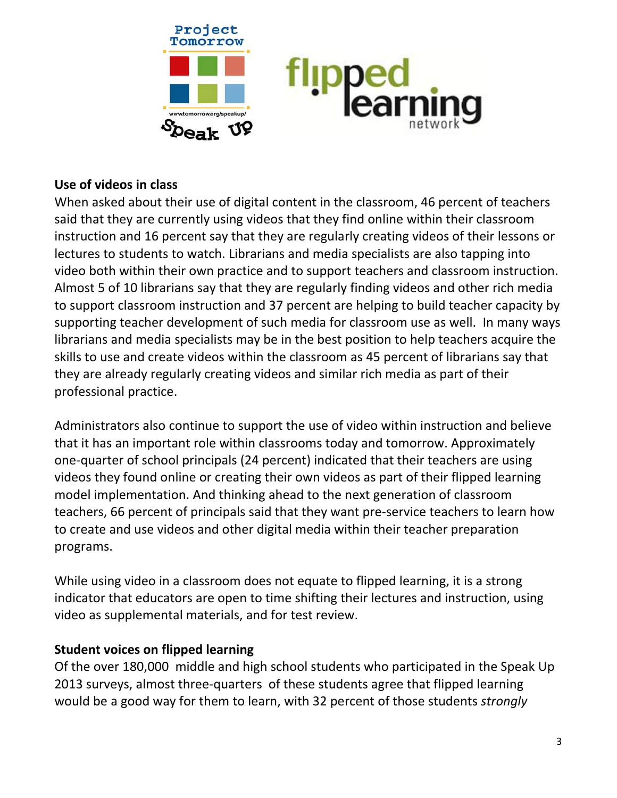

### **Use of videos in class**

When asked about their use of digital content in the classroom, 46 percent of teachers said that they are currently using videos that they find online within their classroom instruction and 16 percent say that they are regularly creating videos of their lessons or lectures to students to watch. Librarians and media specialists are also tapping into video both within their own practice and to support teachers and classroom instruction. Almost 5 of 10 librarians say that they are regularly finding videos and other rich media to support classroom instruction and 37 percent are helping to build teacher capacity by supporting teacher development of such media for classroom use as well. In many ways librarians and media specialists may be in the best position to help teachers acquire the skills to use and create videos within the classroom as 45 percent of librarians say that they are already regularly creating videos and similar rich media as part of their professional practice.

Administrators also continue to support the use of video within instruction and believe that it has an important role within classrooms today and tomorrow. Approximately one‐quarter of school principals (24 percent) indicated that their teachers are using videos they found online or creating their own videos as part of their flipped learning model implementation. And thinking ahead to the next generation of classroom teachers, 66 percent of principals said that they want pre‐service teachers to learn how to create and use videos and other digital media within their teacher preparation programs.

While using video in a classroom does not equate to flipped learning, it is a strong indicator that educators are open to time shifting their lectures and instruction, using video as supplemental materials, and for test review.

### **Student voices on flipped learning**

Of the over 180,000 middle and high school students who participated in the Speak Up 2013 surveys, almost three‐quarters of these students agree that flipped learning would be a good way for them to learn, with 32 percent of those students *strongly*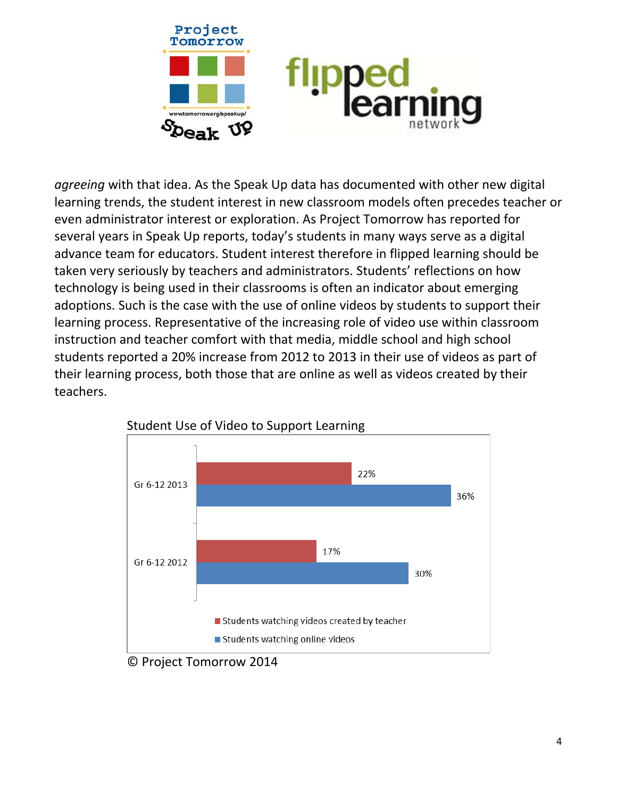

*agreeing* with that idea. As the Speak Up data has documented with other new digital learning trends, the student interest in new classroom models often precedes teacher or even administrator interest or exploration. As Project Tomorrow has reported for several years in Speak Up reports, today's students in many ways serve as a digital advance team for educators. Student interest therefore in flipped learning should be taken very seriously by teachers and administrators. Students' reflections on how technology is being used in their classrooms is often an indicator about emerging adoptions. Such is the case with the use of online videos by students to support their learning process. Representative of the increasing role of video use within classroom instruction and teacher comfort with that media, middle school and high school students reported a 20% increase from 2012 to 2013 in their use of videos as part of their learning process, both those that are online as well as videos created by their teachers.





© Project Tomorrow 2014